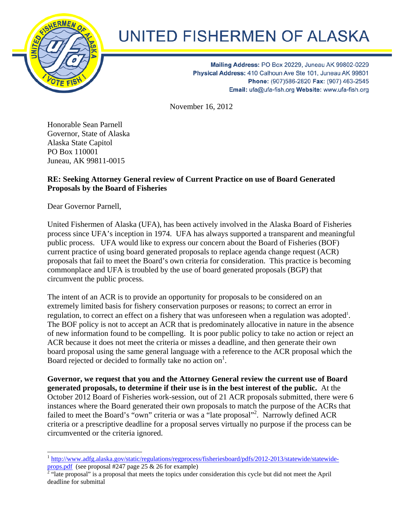

## UNITED FISHERMEN OF ALASKA

Mailing Address: PO Box 20229, Juneau AK 99802-0229 Physical Address: 410 Calhoun Ave Ste 101, Juneau AK 99801 Phone: (907)586-2820 Fax: (907) 463-2545 Email: ufa@ufa-fish.org Website: www.ufa-fish.org

November 16, 2012

Honorable Sean Parnell Governor, State of Alaska Alaska State Capitol PO Box 110001 Juneau, AK 99811-0015

## **RE: Seeking Attorney General review of Current Practice on use of Board Generated Proposals by the Board of Fisheries**

Dear Governor Parnell,

 $\overline{\phantom{a}}$ 

United Fishermen of Alaska (UFA), has been actively involved in the Alaska Board of Fisheries process since UFA's inception in 1974. UFA has always supported a transparent and meaningful public process. UFA would like to express our concern about the Board of Fisheries (BOF) current practice of using board generated proposals to replace agenda change request (ACR) proposals that fail to meet the Board's own criteria for consideration. This practice is becoming commonplace and UFA is troubled by the use of board generated proposals (BGP) that circumvent the public process.

The intent of an ACR is to provide an opportunity for proposals to be considered on an extremely limited basis for fishery conservation purposes or reasons; to correct an error in regulation, to correct an effect on a fishery that was unforeseen when a regulation was adopted<sup>1</sup>. The BOF policy is not to accept an ACR that is predominately allocative in nature in the absence of new information found to be compelling. It is poor public policy to take no action or reject an ACR because it does not meet the criteria or misses a deadline, and then generate their own board proposal using the same general language with a reference to the ACR proposal which the Board rejected or decided to formally take no action on<sup>1</sup>.

**Governor, we request that you and the Attorney General review the current use of Board generated proposals, to determine if their use is in the best interest of the public.** At the October 2012 Board of Fisheries work-session, out of 21 ACR proposals submitted, there were 6 instances where the Board generated their own proposals to match the purpose of the ACRs that failed to meet the Board's "own" criteria or was a "late proposal"<sup>2</sup>. Narrowly defined ACR criteria or a prescriptive deadline for a proposal serves virtually no purpose if the process can be circumvented or the criteria ignored.

<sup>&</sup>lt;sup>1</sup> http://www.adfg.alaska.gov/static/regulations/regprocess/fisheriesboard/pdfs/2012-2013/statewide/statewideprops.pdf (see proposal #247 page 25 & 26 for example)<br><sup>2</sup> "late proposal" is a proposal that meets the topics under consideration this cycle but did not meet the April

deadline for submittal